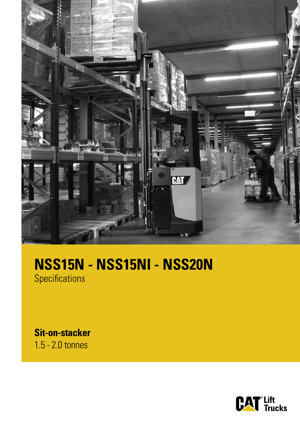

# **NSS15N - NSS15NI - NSS20N**

**Specifications** 

**Sit-on-stacker** 1.5 - 2.0 tonnes

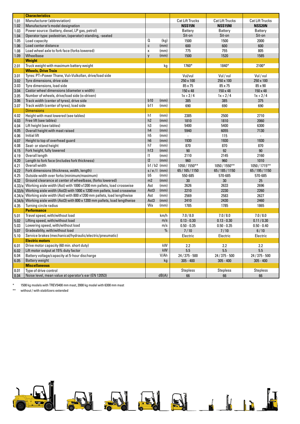|              | <b>Characteristics</b>                                                                      |                |       |                        |                        |                        |
|--------------|---------------------------------------------------------------------------------------------|----------------|-------|------------------------|------------------------|------------------------|
| 1.01         | Manufacturer (abbreviation)                                                                 |                |       | <b>Cat Lift Trucks</b> | <b>Cat Lift Trucks</b> | <b>Cat Lift Trucks</b> |
| 1.02         | Manufacturer's model designation                                                            |                |       | <b>NSS15N</b>          | <b>NSS15NI</b>         | <b>NSS20N</b>          |
| 1.03         | Power source: (battery, diesel, LP gas, petrol)                                             |                |       | <b>Battery</b>         | Battery                | Battery                |
| 1.04         | Operator type: pedestrian, (operator)-standing, -seated                                     |                |       | Sit-on                 | Sit-on                 | Sit-on                 |
| 1.05         | Load capacity                                                                               | Q              | (kg)  | 1500                   | 1500                   | 2000                   |
| 1.06         | Load center distance                                                                        | C              | (mm)  | 600                    | 600                    | 600                    |
| 1.08         | Load wheel axle to fork face (forks lowered)                                                | X              | (mm)  | 775                    | 755                    | 805                    |
| 1.09         | Wheelbase                                                                                   | y              | (mm)  | 1500                   | 1520                   | 1585                   |
|              | Weight                                                                                      |                |       |                        |                        |                        |
| 2.01         | Truck weight with maximum battery weight                                                    |                | kg    | 1760*                  | 1840*                  | 2100*                  |
|              | <b>Wheels, Drive Train</b>                                                                  |                |       |                        |                        |                        |
| 3.01         | Tyres: PT=Power Thane, Vul=Vulkollan, drive/load side                                       |                |       | Vul/vul                | Vul / vul              | Vul / vul              |
| 3.02         | Tyre dimensions, drive side                                                                 |                |       | 250 x 100              | 250 x 100              | 250 x 100              |
| 3.03         | Tyre dimensions, load side                                                                  |                |       | 85 x 75                | 85 x 75                | 85 x 90                |
| 3.04         | Castor wheel dimensions (diameter x width)                                                  |                |       | 150 x 48               | 150 x 48               | 150 x 48               |
| 3.05         | Number of wheels, drive/load side (x=driven)                                                |                |       | $1x + 2/4$             | $1x + 2/4$             | $1x + 2/4$             |
| 3.06         | Track width (center of tyres), drive side                                                   | b10            | (mm)  | 385                    | 385                    | 375                    |
| 3.07         | Track width (center of tyres), load side                                                    | b11            | (mm)  | 690                    | 690                    | 690                    |
|              | <b>Dimensions</b>                                                                           |                |       |                        |                        |                        |
| 4.02         | Height with mast lowered (see tables)                                                       | h1             | (mm)  | 2385                   | 2500                   | 2710                   |
| 4.03         | Free lift (see tables)                                                                      | h2             | (mm)  | 1810                   | 1810                   | 2060                   |
| 4.04         | Lift height (see tables)                                                                    | h3             | (mm)  | 5400                   | 5400                   | 6300                   |
| 4.05         | Overall height with mast raised                                                             | h4             | (mm)  | 5940                   | 6055                   | 7130                   |
| 4.06         | Initial lift                                                                                | h <sub>5</sub> | (mm)  | ÷.                     | 115                    | $\omega$               |
| 4.07         | Height to top of overhead guard                                                             | h <sub>6</sub> | (mm)  | 1930                   | 1930                   | 1930                   |
| 4.08         | Seat- or stand height                                                                       | h7             | (mm)  | 870                    | 870                    | 870                    |
| 4.15         | Fork height, fully lowered                                                                  | h13            | (mm)  | 90                     | 92                     | 90                     |
| 4.19         | Overall length                                                                              | $\vert$ 1      | (mm)  | 2110                   | 2145                   | 2160                   |
| 4.20         | Length to fork face (includes fork thickness)                                               | 2              | (mm)  | 960                    | 960                    | 1010                   |
| 4.21         | Overall width                                                                               | $b1/b2$ (mm)   |       | 1050 / 1550**          | 1050 / 1550**          | 1050 / 1715**          |
| 4.22         | Fork dimensions (thickness, width, length)                                                  | $s/e/I$ (mm)   |       | 65/165/1150            | 65/185/1150            | 65/195/1150            |
| 4.25         | Outside width over forks (minimum/maximum)                                                  | b5             | (mm)  | 550-685                | 570-685                | 570-685                |
| 4.32         | Ground clearance at center of wheelbase, (forks lowered)                                    | m <sub>2</sub> | (mm)  | 30                     | 30                     | 25                     |
|              | Working aisle width (Ast) with 1000 x1200 mm pallets, load crosswise                        | Ast            | (mm)  | 2626                   | 2633                   | 2696                   |
| 4.33/a       | Working aisle width (Ast3) with 1000 x 1200 mm pallets, load crosswise                      | Ast3           | (mm)  | 2210                   | 2230                   |                        |
| 4.33/b       | Working aisle width (Ast) with 800 x1200 mm pallets, load lengthwise                        | Ast            | (mm)  | 2569                   | 2583                   | 2260<br>2627           |
| 4.34/a       | Working aisle width (Ast3) with 800 x 1200 mm pallets, load lengthwise                      | Ast3           | (mm)  | 2410                   |                        |                        |
| 4.34/b       | Turning circle radius                                                                       | Wa             |       | 1785                   | 2430<br>1785           | 2460<br>1865           |
| 4.35         | <b>Performance</b>                                                                          |                | (mm)  |                        |                        |                        |
| 5.01         | Travel speed, with/without load                                                             |                | km/h  | 7.0 / 8.0              | 7.0 / 8.0              | 7.0 / 8.0              |
| 5.02         | Lifting speed, with/without load                                                            |                | m/s   | $0.13 - 0.30$          | $0.13 - 0.30$          | 0.11/0.30              |
| 5.03         | Lowering speed, with/without load                                                           |                | m/s   | $0.50 - 0.35$          | $0.50 - 0.35$          | $0.50 - 0.40$          |
|              |                                                                                             |                | %     | 7/10                   |                        |                        |
| 5.07         | Gradeability, with/without load<br>Service brakes (mechanical/hydraulic/electric/pneumatic) |                |       |                        | 7/10                   | 6/10                   |
| 5.10         |                                                                                             |                |       | Electric               | Electric               | Electric               |
| 6.01         | <b>Electric motors</b><br>Drive motor capacity (60 min. short duty)                         |                | kW    | 2.2                    | 2.2                    | 2.2                    |
|              | Lift motor output at 15% duty factor                                                        |                | kW    | 5.5                    | 5.5                    | 5.5                    |
| 6.02<br>6.04 | Battery voltage/capacity at 5-hour discharge                                                |                | V/Ah  |                        |                        | 24 / 375 - 500         |
|              |                                                                                             |                |       | $24/375 - 500$         | $24/375 - 500$         |                        |
| 6.05         | Battery weight<br><b>Miscellaneous</b>                                                      |                | kg    | $305 - 400$            | $305 - 400$            | $305 - 400$            |
| 8.01         | Type of drive control                                                                       |                |       | <b>Stepless</b>        | <b>Stepless</b>        | <b>Stepless</b>        |
| 8.04         | Noise level, mean value at operator's ear (EN 12053)                                        |                | dB(A) | 66                     | 66                     | 66                     |
|              |                                                                                             |                |       |                        |                        |                        |

\* 1500 kg models with TREV5400 mm mast, 2000 kg model with 6300 mm mast

\*\* without / with stabilizers extended

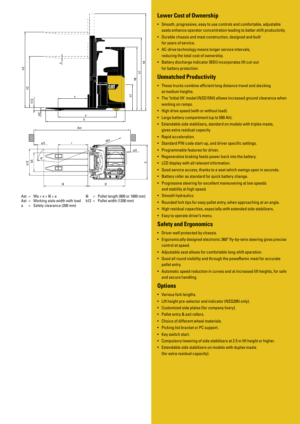

- Ast =  $Wa + x + 16 + a$
- Ast = Working aisle width with load
- a = Safety clearance (200 mm)

l6 = Pallet length (800 or 1000 mm)  $b12 =$  Pallet width (1200 mm)

- **Lower Cost of Ownership**
- Smooth, progressive, easy to use controls and comfortable, adjustable seats enhance operator concentration leading to better shift productivity.
- Durable chassis and mast construction, designed and built for years of service.
- AC-drive technology means longer service intervals, reducing the total cost of ownership.
- Battery discharge indicator (BDI) incorporates lift cut-out for battery protection.

# **Unmatched Productivity**

- These trucks combine efficient long distance travel and stacking at medium heights.
- The 'Initial lift' model (NSS15NI) allows increased ground clearance when working on ramps.
- High drive speed (with or without load).
- Large battery compartment (up to 500 Ah).
- • Extendable side stabilizers, standard on models with triplex masts, gives extra residual capacity
- Rapid acceleration.
- Standard PIN code start-up, and driver specific settings.
- Programmable features for driver.
- Regenerative braking feeds power back into the battery.
- • LCD display with all relevant information.
- Good service access, thanks to a seat which swings open in seconds.
- Battery roller as standard for quick battery change.
- Progressive steering for excellent maneuvering at low speeds and stability at high speed.
- Smooth hydraulics.
- Rounded fork tips for easy pallet entry, when approaching at an angle.
- High residual capacities, especially with extended side stabilizers.
- Easy to operate driver's menu.

## **Safety and Ergonomics**

- Driver well protected by chassis.
- Ergonomically designed electronic 360° fly-by-wire steering gives precise control at speed.
- • Adjustable seat allows for comfortable long-shift operation.
- • Good all round visibility and through the poweRamic mast for accurate pallet entry.
- Automatic speed reduction in curves and at increased lift heights, for safe and secure handling.

#### **Options**

- Various fork lengths.
- Lift height pre-selector and indicator (NSS20N only).
- • Customized side plates (for company livery).
- Pallet entry & exit rollers.
- • Choice of different wheel materials.
- Picking list bracket or PC support.
- Key switch start.
- • Compulsory lowering of side stabilizers at 2.5 m lift height or higher.
- • Extendable side stabilizers on models with duplex masts (for extra residual capacity).